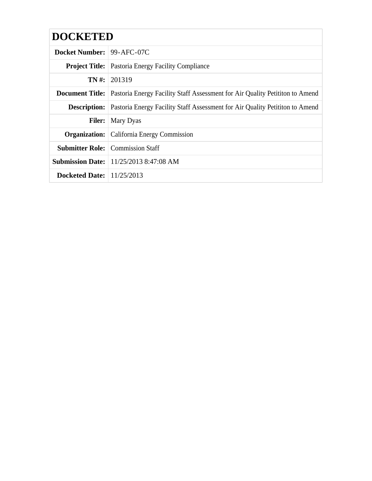# **DOCKETED**

| <b>Docket Number: 99-AFC-07C</b>   |                                                                                                      |
|------------------------------------|------------------------------------------------------------------------------------------------------|
|                                    | <b>Project Title:</b> Pastoria Energy Facility Compliance                                            |
|                                    | $TN \#: 201319$                                                                                      |
|                                    | <b>Document Title:</b> Pastoria Energy Facility Staff Assessment for Air Quality Petitition to Amend |
|                                    | <b>Description:</b> Pastoria Energy Facility Staff Assessment for Air Quality Petitition to Amend    |
|                                    | <b>Filer:</b>   Mary Dyas                                                                            |
|                                    | <b>Organization:</b> California Energy Commission                                                    |
|                                    | <b>Submitter Role:</b> Commission Staff                                                              |
|                                    | <b>Submission Date:</b> 11/25/2013 8:47:08 AM                                                        |
| <b>Docketed Date:</b> $11/25/2013$ |                                                                                                      |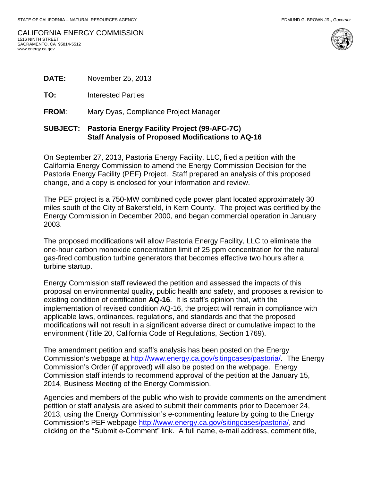| CALIFORNIA ENERGY COMMISSION |
|------------------------------|
| 1516 NINTH STREET            |
| SACRAMENTO. CA 95814-5512    |
| www.energy.ca.gov            |



|              | <b>SUBJECT: Pastoria Energy Facility Project (99-AFC-7C)</b> |
|--------------|--------------------------------------------------------------|
| <b>FROM:</b> | Mary Dyas, Compliance Project Manager                        |
| TO:          | <b>Interested Parties</b>                                    |
| <b>DATE:</b> | November 25, 2013                                            |

# **Staff Analysis of Proposed Modifications to AQ-16**

On September 27, 2013, Pastoria Energy Facility, LLC, filed a petition with the California Energy Commission to amend the Energy Commission Decision for the Pastoria Energy Facility (PEF) Project. Staff prepared an analysis of this proposed change, and a copy is enclosed for your information and review.

The PEF project is a 750-MW combined cycle power plant located approximately 30 miles south of the City of Bakersfield, in Kern County. The project was certified by the Energy Commission in December 2000, and began commercial operation in January 2003.

The proposed modifications will allow Pastoria Energy Facility, LLC to eliminate the one-hour carbon monoxide concentration limit of 25 ppm concentration for the natural gas-fired combustion turbine generators that becomes effective two hours after a turbine startup.

Energy Commission staff reviewed the petition and assessed the impacts of this proposal on environmental quality, public health and safety, and proposes a revision to existing condition of certification **AQ-16**. It is staff's opinion that, with the implementation of revised condition AQ-16, the project will remain in compliance with applicable laws, ordinances, regulations, and standards and that the proposed modifications will not result in a significant adverse direct or cumulative impact to the environment (Title 20, California Code of Regulations, Section 1769).

The amendment petition and staff's analysis has been posted on the Energy Commission's webpage at http://www.energy.ca.gov/sitingcases/pastoria/. The Energy Commission's Order (if approved) will also be posted on the webpage. Energy Commission staff intends to recommend approval of the petition at the January 15, 2014, Business Meeting of the Energy Commission.

Agencies and members of the public who wish to provide comments on the amendment petition or staff analysis are asked to submit their comments prior to December 24, 2013, using the Energy Commission's e-commenting feature by going to the Energy Commission's PEF webpage http://www.energy.ca.gov/sitingcases/pastoria/, and clicking on the "Submit e-Comment" link. A full name, e-mail address, comment title,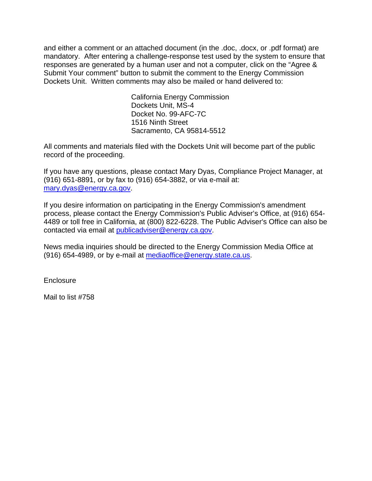and either a comment or an attached document (in the .doc, .docx, or .pdf format) are mandatory. After entering a challenge-response test used by the system to ensure that responses are generated by a human user and not a computer, click on the "Agree & Submit Your comment" button to submit the comment to the Energy Commission Dockets Unit. Written comments may also be mailed or hand delivered to:

> California Energy Commission Dockets Unit, MS-4 Docket No. 99-AFC-7C 1516 Ninth Street Sacramento, CA 95814-5512

All comments and materials filed with the Dockets Unit will become part of the public record of the proceeding.

If you have any questions, please contact Mary Dyas, Compliance Project Manager, at (916) 651-8891, or by fax to (916) 654-3882, or via e-mail at: mary.dyas@energy.ca.gov.

If you desire information on participating in the Energy Commission's amendment process, please contact the Energy Commission's Public Adviser's Office, at (916) 654- 4489 or toll free in California, at (800) 822-6228. The Public Adviser's Office can also be contacted via email at publicadviser@energy.ca.gov.

News media inquiries should be directed to the Energy Commission Media Office at (916) 654-4989, or by e-mail at mediaoffice@energy.state.ca.us.

**Enclosure** 

Mail to list #758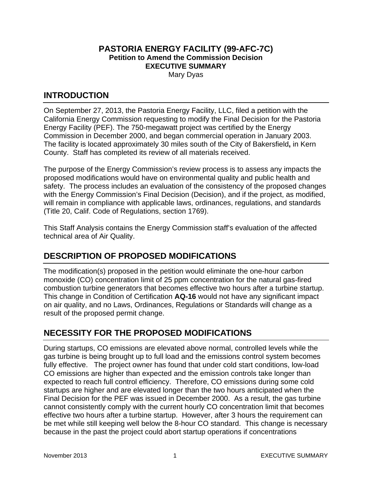## **PASTORIA ENERGY FACILITY (99-AFC-7C) Petition to Amend the Commission Decision EXECUTIVE SUMMARY**

Mary Dyas

#### **INTRODUCTION**

On September 27, 2013, the Pastoria Energy Facility, LLC, filed a petition with the California Energy Commission requesting to modify the Final Decision for the Pastoria Energy Facility (PEF). The 750-megawatt project was certified by the Energy Commission in December 2000, and began commercial operation in January 2003. The facility is located approximately 30 miles south of the City of Bakersfield**,** in Kern County. Staff has completed its review of all materials received.

The purpose of the Energy Commission's review process is to assess any impacts the proposed modifications would have on environmental quality and public health and safety. The process includes an evaluation of the consistency of the proposed changes with the Energy Commission's Final Decision (Decision), and if the project, as modified, will remain in compliance with applicable laws, ordinances, regulations, and standards (Title 20, Calif. Code of Regulations, section 1769).

This Staff Analysis contains the Energy Commission staff's evaluation of the affected technical area of Air Quality.

## **DESCRIPTION OF PROPOSED MODIFICATIONS**

The modification(s) proposed in the petition would eliminate the one-hour carbon monoxide (CO) concentration limit of 25 ppm concentration for the natural gas-fired combustion turbine generators that becomes effective two hours after a turbine startup. This change in Condition of Certification **AQ-16** would not have any significant impact on air quality, and no Laws, Ordinances, Regulations or Standards will change as a result of the proposed permit change.

## **NECESSITY FOR THE PROPOSED MODIFICATIONS**

During startups, CO emissions are elevated above normal, controlled levels while the gas turbine is being brought up to full load and the emissions control system becomes fully effective. The project owner has found that under cold start conditions, low-load CO emissions are higher than expected and the emission controls take longer than expected to reach full control efficiency. Therefore, CO emissions during some cold startups are higher and are elevated longer than the two hours anticipated when the Final Decision for the PEF was issued in December 2000. As a result, the gas turbine cannot consistently comply with the current hourly CO concentration limit that becomes effective two hours after a turbine startup. However, after 3 hours the requirement can be met while still keeping well below the 8-hour CO standard. This change is necessary because in the past the project could abort startup operations if concentrations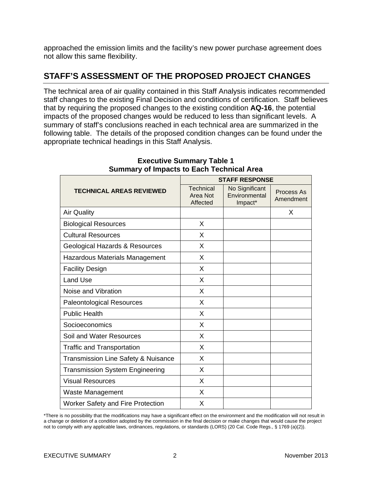approached the emission limits and the facility's new power purchase agreement does not allow this same flexibility.

### **STAFF'S ASSESSMENT OF THE PROPOSED PROJECT CHANGES**

The technical area of air quality contained in this Staff Analysis indicates recommended staff changes to the existing Final Decision and conditions of certification. Staff believes that by requiring the proposed changes to the existing condition **AQ-16**, the potential impacts of the proposed changes would be reduced to less than significant levels. A summary of staff's conclusions reached in each technical area are summarized in the following table. The details of the proposed condition changes can be found under the appropriate technical headings in this Staff Analysis.

|                                                | <b>STAFF RESPONSE</b>             |                                            |                         |  |  |
|------------------------------------------------|-----------------------------------|--------------------------------------------|-------------------------|--|--|
| <b>TECHNICAL AREAS REVIEWED</b>                | Technical<br>Area Not<br>Affected | No Significant<br>Environmental<br>Impact* | Process As<br>Amendment |  |  |
| <b>Air Quality</b>                             |                                   |                                            | X                       |  |  |
| <b>Biological Resources</b>                    | X                                 |                                            |                         |  |  |
| <b>Cultural Resources</b>                      | X                                 |                                            |                         |  |  |
| Geological Hazards & Resources                 | X                                 |                                            |                         |  |  |
| Hazardous Materials Management                 | X                                 |                                            |                         |  |  |
| <b>Facility Design</b>                         | X                                 |                                            |                         |  |  |
| <b>Land Use</b>                                | X                                 |                                            |                         |  |  |
| Noise and Vibration                            | X                                 |                                            |                         |  |  |
| <b>Paleontological Resources</b>               | X                                 |                                            |                         |  |  |
| <b>Public Health</b>                           | X                                 |                                            |                         |  |  |
| Socioeconomics                                 | X                                 |                                            |                         |  |  |
| Soil and Water Resources                       | X                                 |                                            |                         |  |  |
| <b>Traffic and Transportation</b>              | X                                 |                                            |                         |  |  |
| <b>Transmission Line Safety &amp; Nuisance</b> | X                                 |                                            |                         |  |  |
| <b>Transmission System Engineering</b>         | X                                 |                                            |                         |  |  |
| <b>Visual Resources</b>                        | X                                 |                                            |                         |  |  |
| <b>Waste Management</b>                        | X                                 |                                            |                         |  |  |
| <b>Worker Safety and Fire Protection</b>       | X                                 |                                            |                         |  |  |

#### **Executive Summary Table 1 Summary of Impacts to Each Technical Area**

\*There is no possibility that the modifications may have a significant effect on the environment and the modification will not result in a change or deletion of a condition adopted by the commission in the final decision or make changes that would cause the project not to comply with any applicable laws, ordinances, regulations, or standards (LORS) (20 Cal. Code Regs., § 1769 (a)(2)).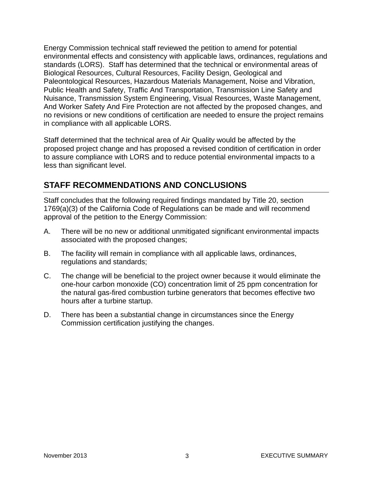Energy Commission technical staff reviewed the petition to amend for potential environmental effects and consistency with applicable laws, ordinances, regulations and standards (LORS). Staff has determined that the technical or environmental areas of Biological Resources, Cultural Resources, Facility Design, Geological and Paleontological Resources, Hazardous Materials Management, Noise and Vibration, Public Health and Safety, Traffic And Transportation, Transmission Line Safety and Nuisance, Transmission System Engineering, Visual Resources, Waste Management, And Worker Safety And Fire Protection are not affected by the proposed changes, and no revisions or new conditions of certification are needed to ensure the project remains in compliance with all applicable LORS.

Staff determined that the technical area of Air Quality would be affected by the proposed project change and has proposed a revised condition of certification in order to assure compliance with LORS and to reduce potential environmental impacts to a less than significant level.

#### **STAFF RECOMMENDATIONS AND CONCLUSIONS**

Staff concludes that the following required findings mandated by Title 20, section 1769(a)(3) of the California Code of Regulations can be made and will recommend approval of the petition to the Energy Commission:

- A. There will be no new or additional unmitigated significant environmental impacts associated with the proposed changes;
- B. The facility will remain in compliance with all applicable laws, ordinances, regulations and standards;
- C. The change will be beneficial to the project owner because it would eliminate the one-hour carbon monoxide (CO) concentration limit of 25 ppm concentration for the natural gas-fired combustion turbine generators that becomes effective two hours after a turbine startup.
- D. There has been a substantial change in circumstances since the Energy Commission certification justifying the changes.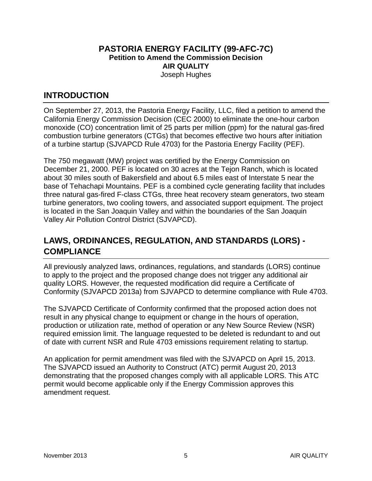#### **PASTORIA ENERGY FACILITY (99-AFC-7C) Petition to Amend the Commission Decision AIR QUALITY**  Joseph Hughes

#### **INTRODUCTION**

On September 27, 2013, the Pastoria Energy Facility, LLC, filed a petition to amend the California Energy Commission Decision (CEC 2000) to eliminate the one-hour carbon monoxide (CO) concentration limit of 25 parts per million (ppm) for the natural gas-fired combustion turbine generators (CTGs) that becomes effective two hours after initiation of a turbine startup (SJVAPCD Rule 4703) for the Pastoria Energy Facility (PEF).

The 750 megawatt (MW) project was certified by the Energy Commission on December 21, 2000. PEF is located on 30 acres at the Tejon Ranch, which is located about 30 miles south of Bakersfield and about 6.5 miles east of Interstate 5 near the base of Tehachapi Mountains. PEF is a combined cycle generating facility that includes three natural gas-fired F-class CTGs, three heat recovery steam generators, two steam turbine generators, two cooling towers, and associated support equipment. The project is located in the San Joaquin Valley and within the boundaries of the San Joaquin Valley Air Pollution Control District (SJVAPCD).

## **LAWS, ORDINANCES, REGULATION, AND STANDARDS (LORS) - COMPLIANCE**

All previously analyzed laws, ordinances, regulations, and standards (LORS) continue to apply to the project and the proposed change does not trigger any additional air quality LORS. However, the requested modification did require a Certificate of Conformity (SJVAPCD 2013a) from SJVAPCD to determine compliance with Rule 4703.

The SJVAPCD Certificate of Conformity confirmed that the proposed action does not result in any physical change to equipment or change in the hours of operation, production or utilization rate, method of operation or any New Source Review (NSR) required emission limit. The language requested to be deleted is redundant to and out of date with current NSR and Rule 4703 emissions requirement relating to startup.

An application for permit amendment was filed with the SJVAPCD on April 15, 2013. The SJVAPCD issued an Authority to Construct (ATC) permit August 20, 2013 demonstrating that the proposed changes comply with all applicable LORS. This ATC permit would become applicable only if the Energy Commission approves this amendment request.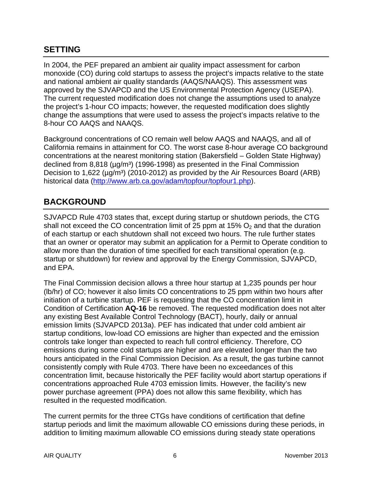### **SETTING**

In 2004, the PEF prepared an ambient air quality impact assessment for carbon monoxide (CO) during cold startups to assess the project's impacts relative to the state and national ambient air quality standards (AAQS/NAAQS). This assessment was approved by the SJVAPCD and the US Environmental Protection Agency (USEPA). The current requested modification does not change the assumptions used to analyze the project's 1-hour CO impacts; however, the requested modification does slightly change the assumptions that were used to assess the project's impacts relative to the 8-hour CO AAQS and NAAQS.

Background concentrations of CO remain well below AAQS and NAAQS, and all of California remains in attainment for CO. The worst case 8-hour average CO background concentrations at the nearest monitoring station (Bakersfield – Golden State Highway) declined from 8,818 ( $\mu$ g/m<sup>3</sup>) (1996-1998) as presented in the Final Commission Decision to  $1,622$  ( $\mu$ g/m<sup>3</sup>) (2010-2012) as provided by the Air Resources Board (ARB) historical data (http://www.arb.ca.gov/adam/topfour/topfour1.php).

#### **BACKGROUND**

SJVAPCD Rule 4703 states that, except during startup or shutdown periods, the CTG shall not exceed the CO concentration limit of 25 ppm at 15%  $O<sub>2</sub>$  and that the duration of each startup or each shutdown shall not exceed two hours. The rule further states that an owner or operator may submit an application for a Permit to Operate condition to allow more than the duration of time specified for each transitional operation (e.g. startup or shutdown) for review and approval by the Energy Commission, SJVAPCD, and EPA.

The Final Commission decision allows a three hour startup at 1,235 pounds per hour (lb/hr) of CO; however it also limits CO concentrations to 25 ppm within two hours after initiation of a turbine startup. PEF is requesting that the CO concentration limit in Condition of Certification **AQ-16** be removed. The requested modification does not alter any existing Best Available Control Technology (BACT), hourly, daily or annual emission limits (SJVAPCD 2013a). PEF has indicated that under cold ambient air startup conditions, low-load CO emissions are higher than expected and the emission controls take longer than expected to reach full control efficiency. Therefore, CO emissions during some cold startups are higher and are elevated longer than the two hours anticipated in the Final Commission Decision. As a result, the gas turbine cannot consistently comply with Rule 4703. There have been no exceedances of this concentration limit, because historically the PEF facility would abort startup operations if concentrations approached Rule 4703 emission limits. However, the facility's new power purchase agreement (PPA) does not allow this same flexibility, which has resulted in the requested modification.

The current permits for the three CTGs have conditions of certification that define startup periods and limit the maximum allowable CO emissions during these periods, in addition to limiting maximum allowable CO emissions during steady state operations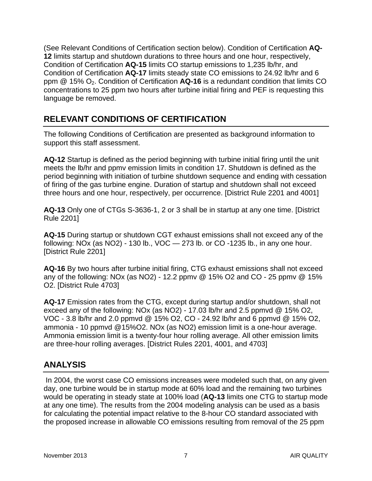(See Relevant Conditions of Certification section below). Condition of Certification **AQ-12** limits startup and shutdown durations to three hours and one hour, respectively, Condition of Certification **AQ-15** limits CO startup emissions to 1,235 lb/hr, and Condition of Certification **AQ-17** limits steady state CO emissions to 24.92 lb/hr and 6 ppm @ 15% O2. Condition of Certification **AQ-16** is a redundant condition that limits CO concentrations to 25 ppm two hours after turbine initial firing and PEF is requesting this language be removed.

## **RELEVANT CONDITIONS OF CERTIFICATION**

The following Conditions of Certification are presented as background information to support this staff assessment.

**AQ-12** Startup is defined as the period beginning with turbine initial firing until the unit meets the lb/hr and ppmv emission limits in condition 17. Shutdown is defined as the period beginning with initiation of turbine shutdown sequence and ending with cessation of firing of the gas turbine engine. Duration of startup and shutdown shall not exceed three hours and one hour, respectively, per occurrence. [District Rule 2201 and 4001]

**AQ-13** Only one of CTGs S-3636-1, 2 or 3 shall be in startup at any one time. [District Rule 2201]

**AQ-15** During startup or shutdown CGT exhaust emissions shall not exceed any of the following: NOx (as NO2) - 130 lb., VOC — 273 lb. or CO -1235 lb., in any one hour. [District Rule 2201]

**AQ-16** By two hours after turbine initial firing, CTG exhaust emissions shall not exceed any of the following: NOx (as NO2) - 12.2 ppmv  $@$  15% O2 and CO - 25 ppmv  $@$  15% O2. [District Rule 4703]

**AQ-17** Emission rates from the CTG, except during startup and/or shutdown, shall not exceed any of the following: NOx (as NO2) - 17.03 lb/hr and 2.5 ppmvd @ 15% O2, VOC - 3.8 lb/hr and 2.0 ppmvd @ 15% O2, CO - 24.92 lb/hr and 6 ppmvd @ 15% O2, ammonia - 10 ppmvd @15%O2. NOx (as NO2) emission limit is a one-hour average. Ammonia emission limit is a twenty-four hour rolling average. All other emission limits are three-hour rolling averages. [District Rules 2201, 4001, and 4703]

## **ANALYSIS**

 In 2004, the worst case CO emissions increases were modeled such that, on any given day, one turbine would be in startup mode at 60% load and the remaining two turbines would be operating in steady state at 100% load (**AQ-13** limits one CTG to startup mode at any one time). The results from the 2004 modeling analysis can be used as a basis for calculating the potential impact relative to the 8-hour CO standard associated with the proposed increase in allowable CO emissions resulting from removal of the 25 ppm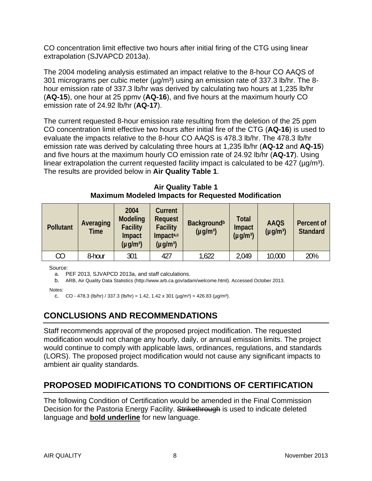CO concentration limit effective two hours after initial firing of the CTG using linear extrapolation (SJVAPCD 2013a).

The 2004 modeling analysis estimated an impact relative to the 8-hour CO AAQS of 301 micrograms per cubic meter ( $\mu q/m<sup>3</sup>$ ) using an emission rate of 337.3 lb/hr. The 8hour emission rate of 337.3 lb/hr was derived by calculating two hours at 1,235 lb/hr (**AQ-15**), one hour at 25 ppmv (**AQ-16**), and five hours at the maximum hourly CO emission rate of 24.92 lb/hr (**AQ-17**).

The current requested 8-hour emission rate resulting from the deletion of the 25 ppm CO concentration limit effective two hours after initial fire of the CTG (**AQ-16**) is used to evaluate the impacts relative to the 8-hour CO AAQS is 478.3 lb/hr. The 478.3 lb/hr emission rate was derived by calculating three hours at 1,235 lb/hr (**AQ-12** and **AQ-15**) and five hours at the maximum hourly CO emission rate of 24.92 lb/hr (**AQ-17**). Using linear extrapolation the current requested facility impact is calculated to be  $427 \ (\mu g/m^3)$ . The results are provided below in **Air Quality Table 1**.

**Air Quality Table 1 Maximum Modeled Impacts for Requested Modification** 

| <b>Pollutant</b> | Averaging<br>Time | 2004<br><b>Modeling</b><br><b>Facility</b><br>Impact<br>$(\mu g/m^3)$ | Current<br><b>Request</b><br><b>Facility</b><br>Impacta,c<br>$(\mu g/m^3)$ | <b>Background</b> <sup>b</sup><br>$(\mu g/m^3)$ | <b>Total</b><br>Impact<br>$(\mu g/m^3)$ | <b>AAQS</b><br>$(\mu g/m^3)$ | <b>Percent of</b><br><b>Standard</b> |
|------------------|-------------------|-----------------------------------------------------------------------|----------------------------------------------------------------------------|-------------------------------------------------|-----------------------------------------|------------------------------|--------------------------------------|
| CО               | 8-hour            | 301                                                                   | 427                                                                        | 1,622                                           | 2,049                                   | 10,000                       | 20%                                  |

Source:

a. PEF 2013, SJVAPCD 2013a, and staff calculations.

b. ARB, Air Quality Data Statistics (http://www.arb.ca.gov/adam/welcome.html). Accessed October 2013.

Notes:

c. CO - 478.3 (lb/hr) / 337.3 (lb/hr) = 1.42, 1.42 x 301 ( $\mu$ g/m<sup>3</sup>) = 426.83 ( $\mu$ g/m<sup>3</sup>).

## **CONCLUSIONS AND RECOMMENDATIONS**

Staff recommends approval of the proposed project modification. The requested modification would not change any hourly, daily, or annual emission limits. The project would continue to comply with applicable laws, ordinances, regulations, and standards (LORS). The proposed project modification would not cause any significant impacts to ambient air quality standards.

## **PROPOSED MODIFICATIONS TO CONDITIONS OF CERTIFICATION**

The following Condition of Certification would be amended in the Final Commission Decision for the Pastoria Energy Facility. Strikethrough is used to indicate deleted language and **bold underline** for new language.